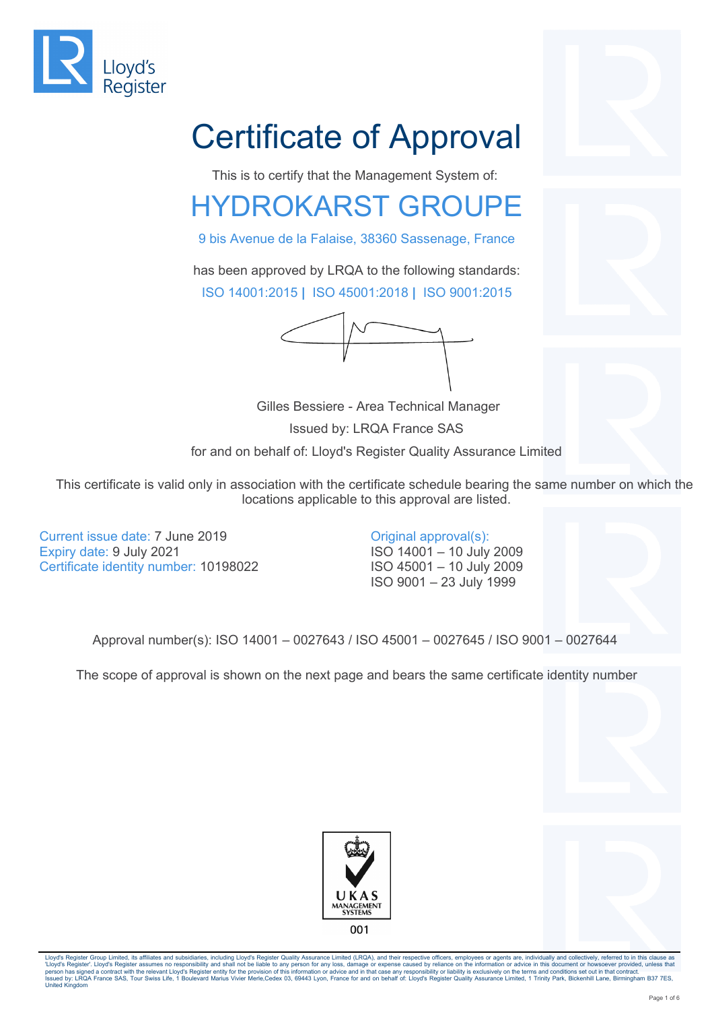

# Certificate of Approval

This is to certify that the Management System of:

### HYDROKARST GROUPE

9 bis Avenue de la Falaise, 38360 Sassenage, France

has been approved by LRQA to the following standards: ISO 14001:2015 **|** ISO 45001:2018 **|** ISO 9001:2015



 Gilles Bessiere - Area Technical Manager Issued by: LRQA France SAS for and on behalf of: Lloyd's Register Quality Assurance Limited

This certificate is valid only in association with the certificate schedule bearing the same number on which the locations applicable to this approval are listed.

Current issue date: 7 June 2019 Expiry date: 9 July 2021 Certificate identity number: 10198022

Original approval(s): ISO 14001 – 10 July 2009 ISO 45001 – 10 July 2009 ISO 9001 – 23 July 1999

Approval number(s): ISO 14001 – 0027643 / ISO 45001 – 0027645 / ISO 9001 – 0027644

The scope of approval is shown on the next page and bears the same certificate identity number





Lloyd's Register Group Limited, its affiliates and subsidiaries, including Lloyd's Register Quality Assurance Limited (LRQA), and their respective officers, employees or agents are, individually and collectively, referred 'Lloyd's Register'. Lloyd's Register assumes no responsibility and shall not be liable to any person for any loss, damage or expense caused by reliance on the information or advice in this document or howsoever provided, u United Kingdom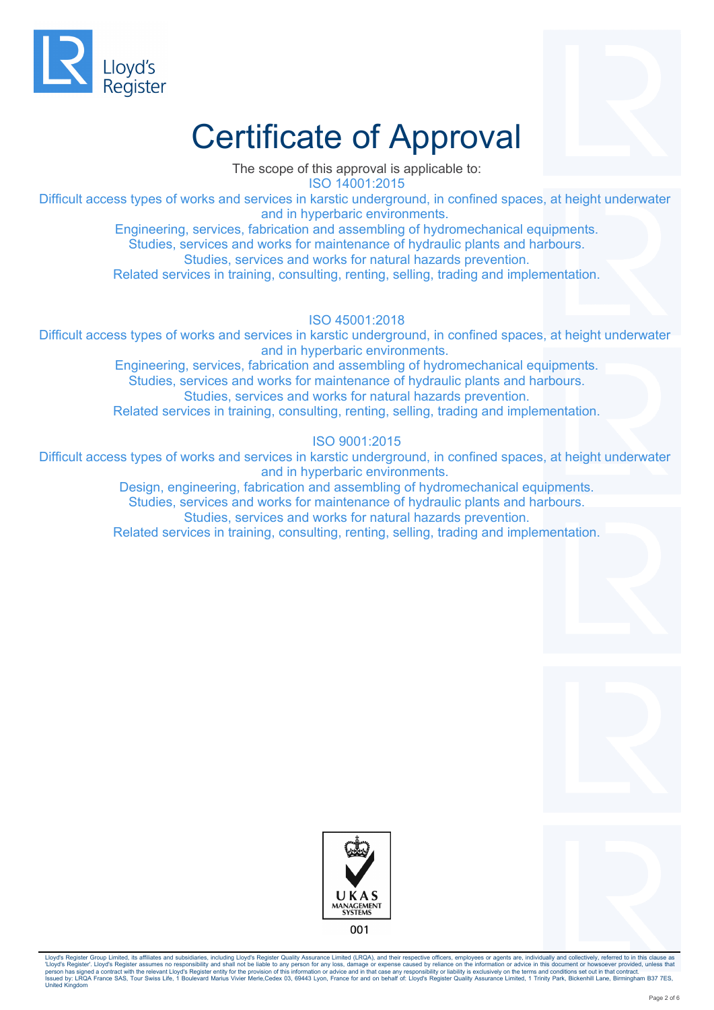



The scope of this approval is applicable to: ISO 14001:2015

Difficult access types of works and services in karstic underground, in confined spaces, at height underwater and in hyperbaric environments.

> Engineering, services, fabrication and assembling of hydromechanical equipments. Studies, services and works for maintenance of hydraulic plants and harbours.

Studies, services and works for natural hazards prevention.

Related services in training, consulting, renting, selling, trading and implementation.

#### ISO 45001:2018

Difficult access types of works and services in karstic underground, in confined spaces, at height underwater and in hyperbaric environments.

> Engineering, services, fabrication and assembling of hydromechanical equipments. Studies, services and works for maintenance of hydraulic plants and harbours. Studies, services and works for natural hazards prevention. Related services in training, consulting, renting, selling, trading and implementation.

#### ISO 9001:2015

Difficult access types of works and services in karstic underground, in confined spaces, at height underwater and in hyperbaric environments.

Design, engineering, fabrication and assembling of hydromechanical equipments.

Studies, services and works for maintenance of hydraulic plants and harbours. Studies, services and works for natural hazards prevention.

Related services in training, consulting, renting, selling, trading and implementation.





Lloyd's Register Group Limited, its affiliates and subsidiaries, including Lloyd's Register Quality Assurance Limited (LRQA), and their respective officers, employees or agents are, individually and collectively, referred 'Lloyd's Register'. Lloyd's Register assumes no responsibility and shall not be liable to any person for any loss, damage or expense caused by reliance on the information or advice in this document or howsoever provided, u United Kingdom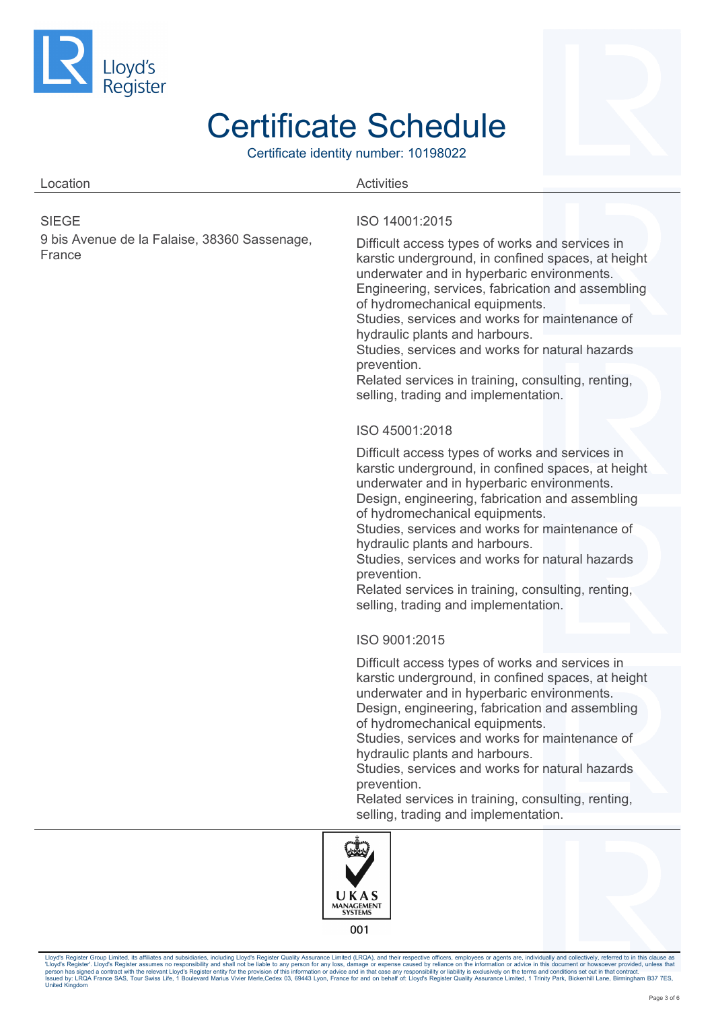

Certificate identity number: 10198022

| Location                                               | <b>Activities</b>                                                                                                                                                                                                                                                                                                                                                                                                                                                                            |
|--------------------------------------------------------|----------------------------------------------------------------------------------------------------------------------------------------------------------------------------------------------------------------------------------------------------------------------------------------------------------------------------------------------------------------------------------------------------------------------------------------------------------------------------------------------|
| <b>SIEGE</b>                                           | ISO 14001:2015                                                                                                                                                                                                                                                                                                                                                                                                                                                                               |
| 9 bis Avenue de la Falaise, 38360 Sassenage,<br>France | Difficult access types of works and services in<br>karstic underground, in confined spaces, at height<br>underwater and in hyperbaric environments.<br>Engineering, services, fabrication and assembling<br>of hydromechanical equipments.<br>Studies, services and works for maintenance of<br>hydraulic plants and harbours.<br>Studies, services and works for natural hazards<br>prevention.<br>Related services in training, consulting, renting,                                       |
|                                                        | selling, trading and implementation.                                                                                                                                                                                                                                                                                                                                                                                                                                                         |
|                                                        | ISO 45001:2018                                                                                                                                                                                                                                                                                                                                                                                                                                                                               |
|                                                        | Difficult access types of works and services in<br>karstic underground, in confined spaces, at height<br>underwater and in hyperbaric environments.<br>Design, engineering, fabrication and assembling                                                                                                                                                                                                                                                                                       |
|                                                        | of hydromechanical equipments.<br>Studies, services and works for maintenance of<br>hydraulic plants and harbours.<br>Studies, services and works for natural hazards<br>prevention.<br>Related services in training, consulting, renting,<br>selling, trading and implementation.                                                                                                                                                                                                           |
|                                                        | ISO 9001:2015                                                                                                                                                                                                                                                                                                                                                                                                                                                                                |
|                                                        | Difficult access types of works and services in<br>karstic underground, in confined spaces, at height<br>underwater and in hyperbaric environments.<br>Design, engineering, fabrication and assembling<br>of hydromechanical equipments.<br>Studies, services and works for maintenance of<br>hydraulic plants and harbours.<br>Studies, services and works for natural hazards<br>prevention.<br>Related services in training, consulting, renting,<br>selling, trading and implementation. |
|                                                        |                                                                                                                                                                                                                                                                                                                                                                                                                                                                                              |

MANAGEMENT 001

UKAS

Lloyd's Register Group Limited, its affiliates and subsidiaries, including Lloyd's Register Quality Assurance Limited (LRQA), and their respective officence in emperator argents are, individually and collectively, referred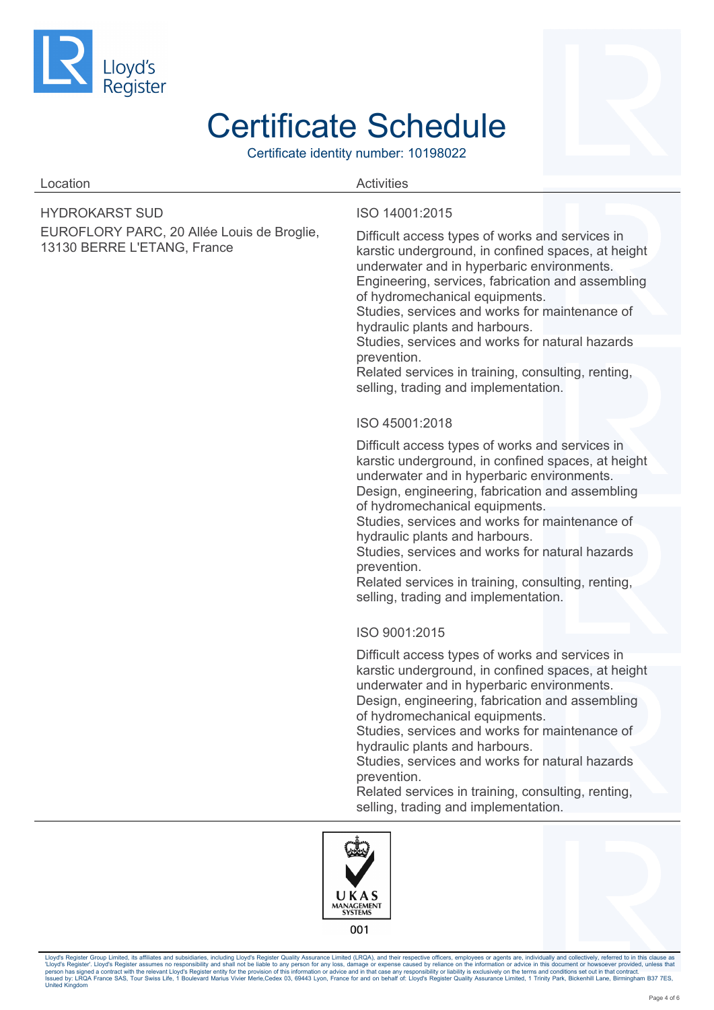

Certificate identity number: 10198022

### Location **Activities**

HYDROKARST SUD

EUROFLORY PARC, 20 Allée Louis de Broglie, 13130 BERRE L'ETANG, France

#### ISO 14001:2015

Difficult access types of works and services in karstic underground, in confined spaces, at height underwater and in hyperbaric environments. Engineering, services, fabrication and assembling of hydromechanical equipments.

Studies, services and works for maintenance of hydraulic plants and harbours.

Studies, services and works for natural hazards prevention.

Related services in training, consulting, renting, selling, trading and implementation.

#### ISO 45001:2018

Difficult access types of works and services in karstic underground, in confined spaces, at height underwater and in hyperbaric environments.

Design, engineering, fabrication and assembling of hydromechanical equipments.

Studies, services and works for maintenance of hydraulic plants and harbours.

Studies, services and works for natural hazards prevention.

Related services in training, consulting, renting, selling, trading and implementation.

#### ISO 9001:2015

Difficult access types of works and services in karstic underground, in confined spaces, at height underwater and in hyperbaric environments. Design, engineering, fabrication and assembling

of hydromechanical equipments.

Studies, services and works for maintenance of hydraulic plants and harbours.

Studies, services and works for natural hazards prevention.

Related services in training, consulting, renting, selling, trading and implementation.



Lloyd's Register Group Limited, its affiliates and subsidiaries, including Lloyd's Register Quality Assurance Limited (LRQA), and their respective officers, employees or agents are, individually and collectively, referred 'Lloyd's Register'. Lloyd's Register assumes no responsibility and shall not be liable to any person for any loss, damage or expense caused by reliance on the information or advice in this document or howsoever provided, u United Kingdom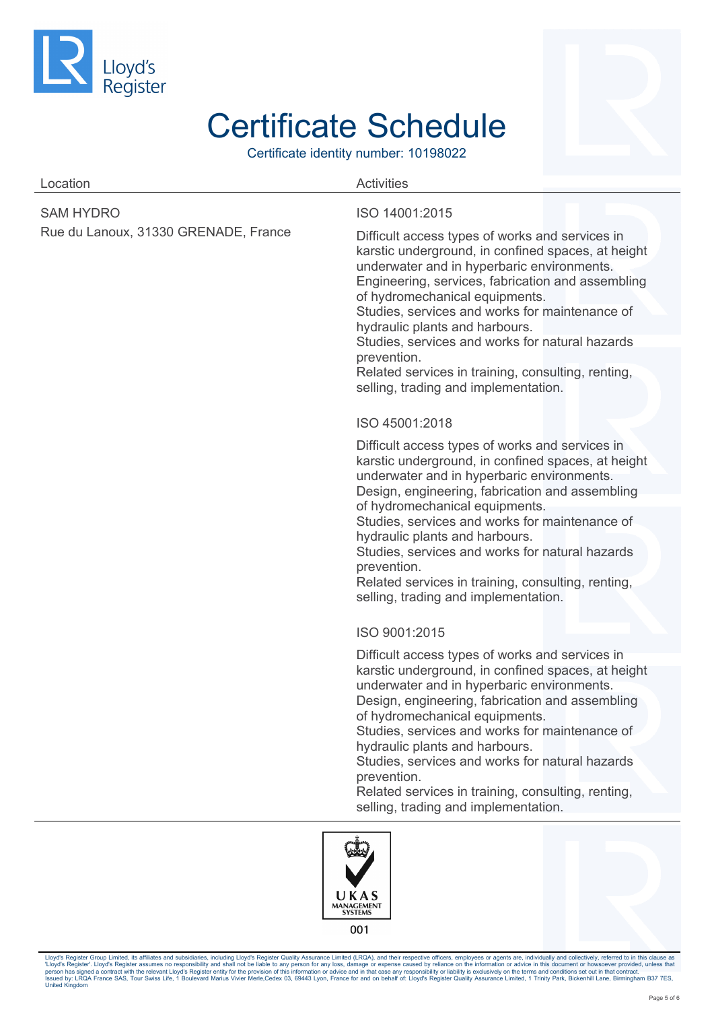

Certificate identity number: 10198022

| Location                                                 | <b>Activities</b>                                                                                                                                                                                                                                                                                                                                                                                                                                                                            |
|----------------------------------------------------------|----------------------------------------------------------------------------------------------------------------------------------------------------------------------------------------------------------------------------------------------------------------------------------------------------------------------------------------------------------------------------------------------------------------------------------------------------------------------------------------------|
| <b>SAM HYDRO</b><br>Rue du Lanoux, 31330 GRENADE, France | ISO 14001:2015<br>Difficult access types of works and services in<br>karstic underground, in confined spaces, at height<br>underwater and in hyperbaric environments.<br>Engineering, services, fabrication and assembling<br>of hydromechanical equipments.<br>Studies, services and works for maintenance of<br>hydraulic plants and harbours.                                                                                                                                             |
|                                                          | Studies, services and works for natural hazards<br>prevention.<br>Related services in training, consulting, renting,<br>selling, trading and implementation.<br>ISO 45001:2018                                                                                                                                                                                                                                                                                                               |
|                                                          | Difficult access types of works and services in<br>karstic underground, in confined spaces, at height<br>underwater and in hyperbaric environments.<br>Design, engineering, fabrication and assembling                                                                                                                                                                                                                                                                                       |
|                                                          | of hydromechanical equipments.<br>Studies, services and works for maintenance of<br>hydraulic plants and harbours.<br>Studies, services and works for natural hazards<br>prevention.<br>Related services in training, consulting, renting,<br>selling, trading and implementation.                                                                                                                                                                                                           |
|                                                          | ISO 9001:2015                                                                                                                                                                                                                                                                                                                                                                                                                                                                                |
|                                                          | Difficult access types of works and services in<br>karstic underground, in confined spaces, at height<br>underwater and in hyperbaric environments.<br>Design, engineering, fabrication and assembling<br>of hydromechanical equipments.<br>Studies, services and works for maintenance of<br>hydraulic plants and harbours.<br>Studies, services and works for natural hazards<br>prevention.<br>Related services in training, consulting, renting,<br>selling, trading and implementation. |
|                                                          | rufru                                                                                                                                                                                                                                                                                                                                                                                                                                                                                        |



Lloyd's Register Group Limited, its affiliates and subsidiaries, including Lloyd's Register Quality Assurance Limited (LRQA), and their respective officence in emperator argents are, individually and collectively, referred